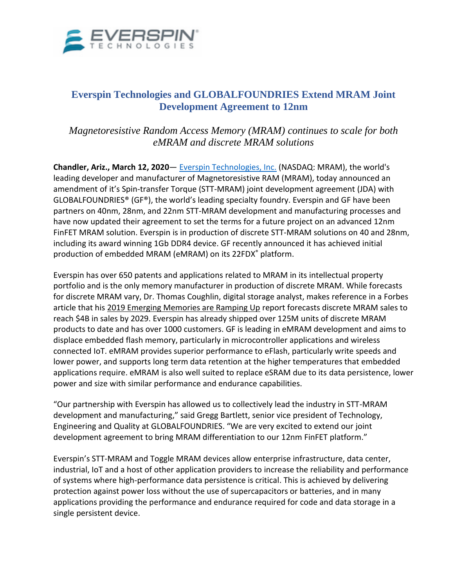

## **Everspin Technologies and GLOBALFOUNDRIES Extend MRAM Joint Development Agreement to 12nm**

*Magnetoresistive Random Access Memory (MRAM) continues to scale for both eMRAM and discrete MRAM solutions*

**Chandler, Ariz., March 12, 2020**— [Everspin Technologies, Inc.](https://www.everspin.com/) (NASDAQ: MRAM), the world's leading developer and manufacturer of Magnetoresistive RAM (MRAM), today announced an amendment of it's Spin-transfer Torque (STT-MRAM) joint development agreement (JDA) with GLOBALFOUNDRIES® (GF®), the world's leading specialty foundry. Everspin and GF have been partners on 40nm, 28nm, and 22nm STT-MRAM development and manufacturing processes and have now updated their agreement to set the terms for a future project on an advanced 12nm FinFET MRAM solution. Everspin is in production of discrete STT-MRAM solutions on 40 and 28nm, including its award winning 1Gb DDR4 device. GF recently announced it has achieved initial production of embedded MRAM (eMRAM) on its 22FDX® platform.

Everspin has over 650 patents and applications related to MRAM in its intellectual property portfolio and is the only memory manufacturer in production of discrete MRAM. While forecasts for discrete MRAM vary, Dr. Thomas Coughlin, digital storage analyst, makes reference in a Forbes article that his 2019 Emerging Memories are Ramping Up report forecasts discrete MRAM sales to reach \$4B in sales by 2029. Everspin has already shipped over 125M units of discrete MRAM products to date and has over 1000 customers. GF is leading in eMRAM development and aims to displace embedded flash memory, particularly in microcontroller applications and wireless connected IoT. eMRAM provides superior performance to eFlash, particularly write speeds and lower power, and supports long term data retention at the higher temperatures that embedded applications require. eMRAM is also well suited to replace eSRAM due to its data persistence, lower power and size with similar performance and endurance capabilities.

"Our partnership with Everspin has allowed us to collectively lead the industry in STT-MRAM development and manufacturing," said Gregg Bartlett, senior vice president of Technology, Engineering and Quality at GLOBALFOUNDRIES. "We are very excited to extend our joint development agreement to bring MRAM differentiation to our 12nm FinFET platform."

Everspin's STT-MRAM and Toggle MRAM devices allow enterprise infrastructure, data center, industrial, IoT and a host of other application providers to increase the reliability and performance of systems where high-performance data persistence is critical. This is achieved by delivering protection against power loss without the use of supercapacitors or batteries, and in many applications providing the performance and endurance required for code and data storage in a single persistent device.